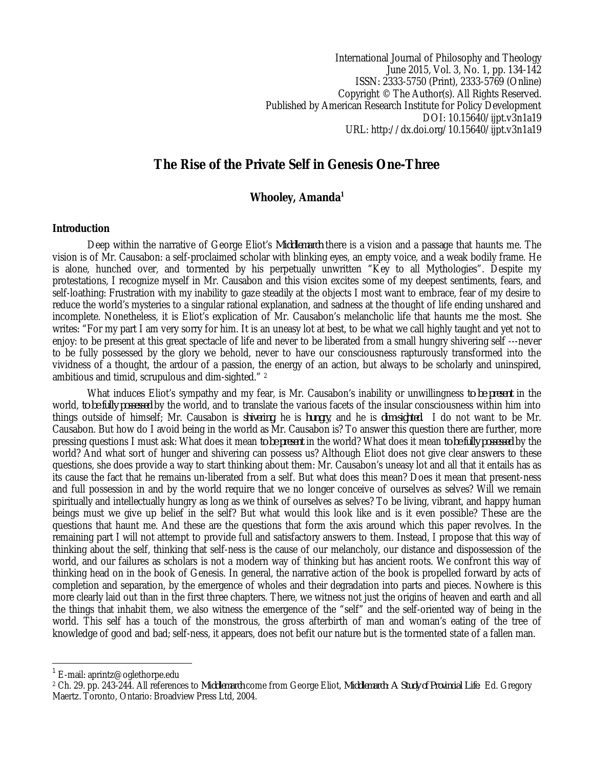International Journal of Philosophy and Theology June 2015, Vol. 3, No. 1, pp. 134-142 ISSN: 2333-5750 (Print), 2333-5769 (Online) Copyright © The Author(s). All Rights Reserved. Published by American Research Institute for Policy Development DOI: 10.15640/ijpt.v3n1a19 URL: http://dx.doi.org/10.15640/ijpt.v3n1a19

# **The Rise of the Private Self in Genesis One-Three**

## **Whooley, Amanda<sup>1</sup>**

#### **Introduction**

Deep within the narrative of George Eliot's *Middlemarch* there is a vision and a passage that haunts me. The vision is of Mr. Causabon: a self-proclaimed scholar with blinking eyes, an empty voice, and a weak bodily frame. He is alone, hunched over, and tormented by his perpetually unwritten "Key to all Mythologies". Despite my protestations, I recognize myself in Mr. Causabon and this vision excites some of my deepest sentiments, fears, and self-loathing: Frustration with my inability to gaze steadily at the objects I most want to embrace, fear of my desire to reduce the world's mysteries to a singular rational explanation, and sadness at the thought of life ending unshared and incomplete. Nonetheless, it is Eliot's explication of Mr. Causabon's melancholic life that haunts me the most. She writes: "For my part I am very sorry for him. It is an uneasy lot at best, to be what we call highly taught and yet not to enjoy: to be present at this great spectacle of life and never to be liberated from a small hungry shivering self ---never to be fully possessed by the glory we behold, never to have our consciousness rapturously transformed into the vividness of a thought, the ardour of a passion, the energy of an action, but always to be scholarly and uninspired, ambitious and timid, scrupulous and dim-sighted." <sup>2</sup>

What induces Eliot's sympathy and my fear, is Mr. Causabon's inability or unwillingness *to be present* in the world, *to be fully possessed* by the world, and to translate the various facets of the insular consciousness within him into things outside of himself; Mr. Causabon is *shivering*, he is *hungry*, and he is *dim-sighted*. I do not want to be Mr. Causabon. But how do I avoid being in the world as Mr. Causabon is? To answer this question there are further, more pressing questions I must ask: What does it mean *to be present* in the world? What does it mean *to be fully possessed* by the world? And what sort of hunger and shivering can possess us? Although Eliot does not give clear answers to these questions, she does provide a way to start thinking about them: Mr. Causabon's uneasy lot and all that it entails has as its cause the fact that he remains un-liberated from a self. But what does this mean? Does it mean that present-ness and full possession in and by the world require that we no longer conceive of ourselves as selves? Will we remain spiritually and intellectually hungry as long as we think of ourselves as selves? To be living, vibrant, and happy human beings must we give up belief in the self? But what would this look like and is it even possible? These are the questions that haunt me. And these are the questions that form the axis around which this paper revolves. In the remaining part I will not attempt to provide full and satisfactory answers to them. Instead, I propose that this way of thinking about the self, thinking that self-ness is the cause of our melancholy, our distance and dispossession of the world, and our failures as scholars is not a modern way of thinking but has ancient roots. We confront this way of thinking head on in the book of Genesis. In general, the narrative action of the book is propelled forward by acts of completion and separation, by the emergence of wholes and their degradation into parts and pieces. Nowhere is this more clearly laid out than in the first three chapters. There, we witness not just the origins of heaven and earth and all the things that inhabit them, we also witness the emergence of the "self" and the self-oriented way of being in the world. This self has a touch of the monstrous, the gross afterbirth of man and woman's eating of the tree of knowledge of good and bad; self-ness, it appears, does not befit our nature but is the tormented state of a fallen man.

 $\overline{a}$ 

<sup>1</sup> E-mail: aprintz@oglethorpe.edu

<sup>2</sup> Ch. 29. pp. 243-244. All references to *Middlemarch* come from George Eliot, *Middlemarch*: *A Study of Provincial Life*. Ed. Gregory Maertz. Toronto, Ontario: Broadview Press Ltd, 2004.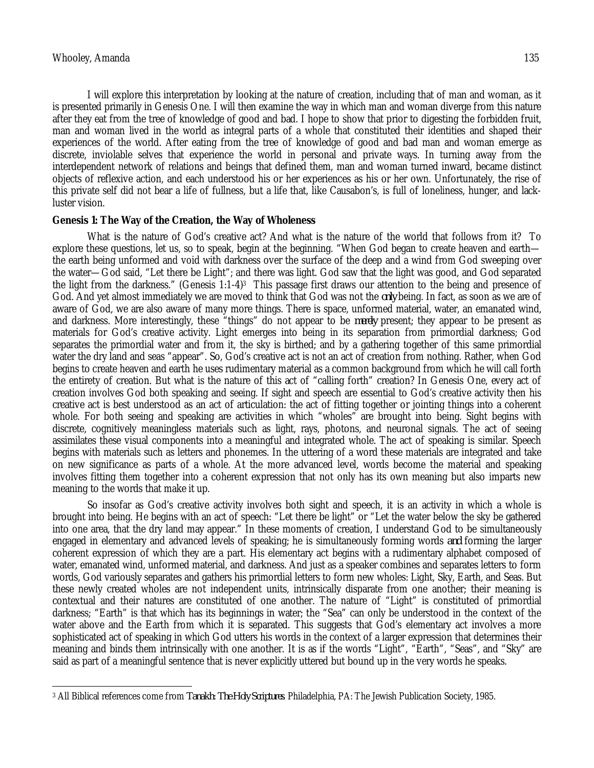I will explore this interpretation by looking at the nature of creation, including that of man and woman, as it is presented primarily in Genesis One. I will then examine the way in which man and woman diverge from this nature after they eat from the tree of knowledge of good and bad. I hope to show that prior to digesting the forbidden fruit, man and woman lived in the world as integral parts of a whole that constituted their identities and shaped their experiences of the world. After eating from the tree of knowledge of good and bad man and woman emerge as discrete, inviolable selves that experience the world in personal and private ways. In turning away from the interdependent network of relations and beings that defined them, man and woman turned inward, became distinct objects of reflexive action, and each understood his or her experiences as his or her own. Unfortunately, the rise of this private self did not bear a life of fullness, but a life that, like Causabon's, is full of loneliness, hunger, and lackluster vision.

### **Genesis 1: The Way of the Creation, the Way of Wholeness**

What is the nature of God's creative act? And what is the nature of the world that follows from it? To explore these questions, let us, so to speak, begin at the beginning. "When God began to create heaven and earth the earth being unformed and void with darkness over the surface of the deep and a wind from God sweeping over the water—God said, "Let there be Light"; and there was light. God saw that the light was good, and God separated the light from the darkness." (Genesis 1:1-4)<sup>3</sup> This passage first draws our attention to the being and presence of God. And yet almost immediately we are moved to think that God was not the *only* being. In fact, as soon as we are of aware of God, we are also aware of many more things. There is space, unformed material, water, an emanated wind, and darkness. More interestingly, these "things" do not appear to be *merely* present; they appear to be present as materials for God's creative activity. Light emerges into being in its separation from primordial darkness; God separates the primordial water and from it, the sky is birthed; and by a gathering together of this same primordial water the dry land and seas "appear". So, God's creative act is not an act of creation from nothing. Rather, when God begins to create heaven and earth he uses rudimentary material as a common background from which he will call forth the entirety of creation. But what is the nature of this act of "calling forth" creation? In Genesis One, every act of creation involves God both speaking and seeing. If sight and speech are essential to God's creative activity then his creative act is best understood as an act of articulation: the act of fitting together or jointing things into a coherent whole. For both seeing and speaking are activities in which "wholes" are brought into being. Sight begins with discrete, cognitively meaningless materials such as light, rays, photons, and neuronal signals. The act of seeing assimilates these visual components into a meaningful and integrated whole. The act of speaking is similar. Speech begins with materials such as letters and phonemes. In the uttering of a word these materials are integrated and take on new significance as parts of a whole. At the more advanced level, words become the material and speaking involves fitting them together into a coherent expression that not only has its own meaning but also imparts new meaning to the words that make it up.

So insofar as God's creative activity involves both sight and speech, it is an activity in which a whole is brought into being. He begins with an act of speech: "Let there be light" or "Let the water below the sky be gathered into one area, that the dry land may appear." In these moments of creation, I understand God to be simultaneously engaged in elementary and advanced levels of speaking; he is simultaneously forming words *and* forming the larger coherent expression of which they are a part. His elementary act begins with a rudimentary alphabet composed of water, emanated wind, unformed material, and darkness. And just as a speaker combines and separates letters to form words, God variously separates and gathers his primordial letters to form new wholes: Light, Sky, Earth, and Seas. But these newly created wholes are not independent units, intrinsically disparate from one another; their meaning is contextual and their natures are constituted of one another. The nature of "Light" is constituted of primordial darkness; "Earth" is that which has its beginnings in water; the "Sea" can only be understood in the context of the water above and the Earth from which it is separated. This suggests that God's elementary act involves a more sophisticated act of speaking in which God utters his words in the context of a larger expression that determines their meaning and binds them intrinsically with one another. It is as if the words "Light", "Earth", "Seas", and "Sky" are said as part of a meaningful sentence that is never explicitly uttered but bound up in the very words he speaks.

 $\overline{a}$ <sup>3</sup> All Biblical references come from *Tanakh: The Holy Scriptures*. Philadelphia, PA: The Jewish Publication Society, 1985.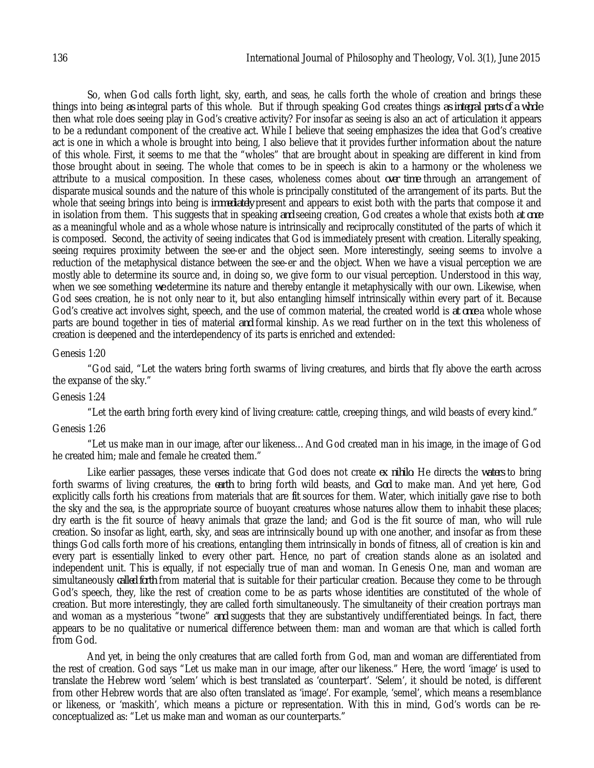So, when God calls forth light, sky, earth, and seas, he calls forth the whole of creation and brings these things into being *as* integral parts of this whole. But if through speaking God creates things *as integral parts of a whole*  then what role does seeing play in God's creative activity? For insofar as seeing is also an act of articulation it appears to be a redundant component of the creative act. While I believe that seeing emphasizes the idea that God's creative act is one in which a whole is brought into being, I also believe that it provides further information about the nature of this whole. First, it seems to me that the "wholes" that are brought about in speaking are different in kind from those brought about in seeing. The whole that comes to be in speech is akin to a harmony or the wholeness we attribute to a musical composition. In these cases, wholeness comes about *over time* through an arrangement of disparate musical sounds and the nature of this whole is principally constituted of the arrangement of its parts. But the whole that seeing brings into being is *immediately* present and appears to exist both with the parts that compose it and in isolation from them. This suggests that in speaking *and* seeing creation, God creates a whole that exists both *at once* as a meaningful whole and as a whole whose nature is intrinsically and reciprocally constituted of the parts of which it is composed. Second, the activity of seeing indicates that God is immediately present with creation. Literally speaking, seeing requires proximity between the see-er and the object seen. More interestingly, seeing seems to involve a reduction of the metaphysical distance between the see-er and the object. When we have a visual perception we are mostly able to determine its source and, in doing so, we give form to our visual perception. Understood in this way, when we see something *we* determine its nature and thereby entangle it metaphysically with our own. Likewise, when God sees creation, he is not only near to it, but also entangling himself intrinsically within every part of it. Because God's creative act involves sight, speech, and the use of common material, the created world is *at once* a whole whose parts are bound together in ties of material *and* formal kinship. As we read further on in the text this wholeness of creation is deepened and the interdependency of its parts is enriched and extended:

#### Genesis 1:20

"God said, "Let the waters bring forth swarms of living creatures, and birds that fly above the earth across the expanse of the sky."

#### Genesis 1:24

"Let the earth bring forth every kind of living creature: cattle, creeping things, and wild beasts of every kind."

## Genesis 1:26

"Let us make man in our image, after our likeness…And God created man in his image, in the image of God he created him; male and female he created them."

Like earlier passages, these verses indicate that God does not create *ex nihilo*: He directs the *waters* to bring forth swarms of living creatures, the *earth* to bring forth wild beasts, and *God* to make man. And yet here, God explicitly calls forth his creations from materials that are *fit* sources for them. Water, which initially gave rise to both the sky and the sea, is the appropriate source of buoyant creatures whose natures allow them to inhabit these places; dry earth is the fit source of heavy animals that graze the land; and God is the fit source of man, who will rule creation. So insofar as light, earth, sky, and seas are intrinsically bound up with one another, and insofar as from these things God calls forth more of his creations, entangling them intrinsically in bonds of fitness, all of creation is kin and every part is essentially linked to every other part. Hence, no part of creation stands alone as an isolated and independent unit. This is equally, if not especially true of man and woman. In Genesis One, man and woman are simultaneously *called forth* from material that is suitable for their particular creation. Because they come to be through God's speech, they, like the rest of creation come to be as parts whose identities are constituted of the whole of creation. But more interestingly, they are called forth simultaneously. The simultaneity of their creation portrays man and woman as a mysterious "twone" *and* suggests that they are substantively undifferentiated beings. In fact, there appears to be no qualitative or numerical difference between them: man and woman are that which is called forth from God.

And yet, in being the only creatures that are called forth from God, man and woman are differentiated from the rest of creation. God says "Let us make man in our image, after our likeness." Here, the word 'image' is used to translate the Hebrew word 'selem' which is best translated as 'counterpart'. 'Selem', it should be noted, is different from other Hebrew words that are also often translated as 'image'. For example, 'semel', which means a resemblance or likeness, or 'maskith', which means a picture or representation. With this in mind, God's words can be reconceptualized as: "Let us make man and woman as our counterparts."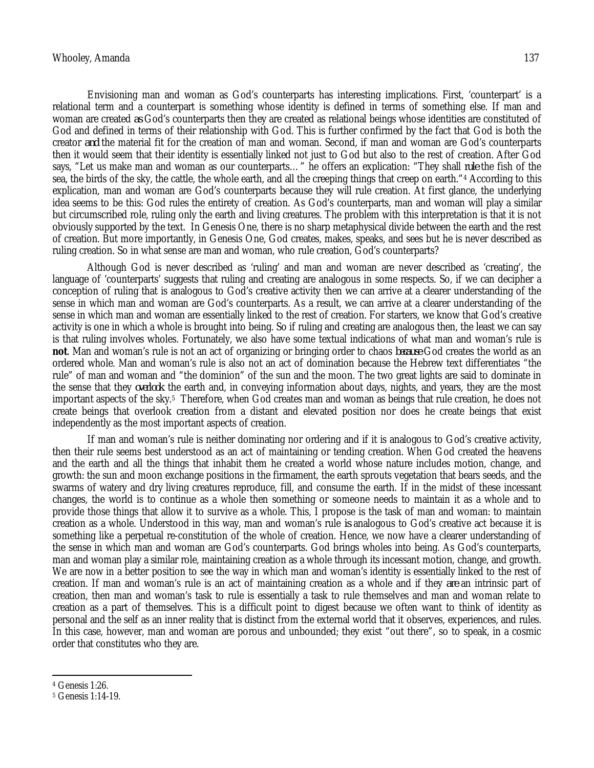Envisioning man and woman as God's counterparts has interesting implications. First, 'counterpart' is a relational term and a counterpart is something whose identity is defined in terms of something else. If man and woman are created *as* God's counterparts then they are created as relational beings whose identities are constituted of God and defined in terms of their relationship with God. This is further confirmed by the fact that God is both the creator *and* the material fit for the creation of man and woman. Second, if man and woman are God's counterparts then it would seem that their identity is essentially linked not just to God but also to the rest of creation. After God says, "Let us make man and woman as our counterparts…" he offers an explication: "They shall *rule* the fish of the sea, the birds of the sky, the cattle, the whole earth, and all the creeping things that creep on earth."<sup>4</sup> According to this explication, man and woman are God's counterparts because they will rule creation. At first glance, the underlying idea seems to be this: God rules the entirety of creation. As God's counterparts, man and woman will play a similar but circumscribed role, ruling only the earth and living creatures. The problem with this interpretation is that it is not obviously supported by the text. In Genesis One, there is no sharp metaphysical divide between the earth and the rest of creation. But more importantly, in Genesis One, God creates, makes, speaks, and sees but he is never described as ruling creation. So in what sense are man and woman, who rule creation, God's counterparts?

Although God is never described as 'ruling' and man and woman are never described as 'creating', the language of 'counterparts' suggests that ruling and creating are analogous in some respects. So, if we can decipher a conception of ruling that is analogous to God's creative activity then we can arrive at a clearer understanding of the sense in which man and woman are God's counterparts. As a result, we can arrive at a clearer understanding of the sense in which man and woman are essentially linked to the rest of creation. For starters, we know that God's creative activity is one in which a whole is brought into being. So if ruling and creating are analogous then, the least we can say is that ruling involves wholes. Fortunately, we also have some textual indications of what man and woman's rule is **not**. Man and woman's rule is not an act of organizing or bringing order to chaos *because* God creates the world as an ordered whole. Man and woman's rule is also not an act of domination because the Hebrew text differentiates "the rule" of man and woman and "the dominion" of the sun and the moon. The two great lights are said to dominate in the sense that they *overlook* the earth and, in conveying information about days, nights, and years, they are the most important aspects of the sky.5 Therefore, when God creates man and woman as beings that rule creation, he does not create beings that overlook creation from a distant and elevated position nor does he create beings that exist independently as the most important aspects of creation.

If man and woman's rule is neither dominating nor ordering and if it is analogous to God's creative activity, then their rule seems best understood as an act of maintaining or tending creation. When God created the heavens and the earth and all the things that inhabit them he created a world whose nature includes motion, change, and growth: the sun and moon exchange positions in the firmament, the earth sprouts vegetation that bears seeds, and the swarms of watery and dry living creatures reproduce, fill, and consume the earth. If in the midst of these incessant changes, the world is to continue as a whole then something or someone needs to maintain it as a whole and to provide those things that allow it to survive as a whole. This, I propose is the task of man and woman: to maintain creation as a whole. Understood in this way, man and woman's rule *is* analogous to God's creative act because it is something like a perpetual re-constitution of the whole of creation. Hence, we now have a clearer understanding of the sense in which man and woman are God's counterparts. God brings wholes into being. As God's counterparts, man and woman play a similar role, maintaining creation as a whole through its incessant motion, change, and growth. We are now in a better position to see the way in which man and woman's identity is essentially linked to the rest of creation. If man and woman's rule is an act of maintaining creation as a whole and if they *are* an intrinsic part of creation, then man and woman's task to rule is essentially a task to rule themselves and man and woman relate to creation as a part of themselves. This is a difficult point to digest because we often want to think of identity as personal and the self as an inner reality that is distinct from the external world that it observes, experiences, and rules. In this case, however, man and woman are porous and unbounded; they exist "out there", so to speak, in a cosmic order that constitutes who they are.

 $\overline{a}$ 

<sup>4</sup> Genesis 1:26.

<sup>5</sup> Genesis 1:14-19.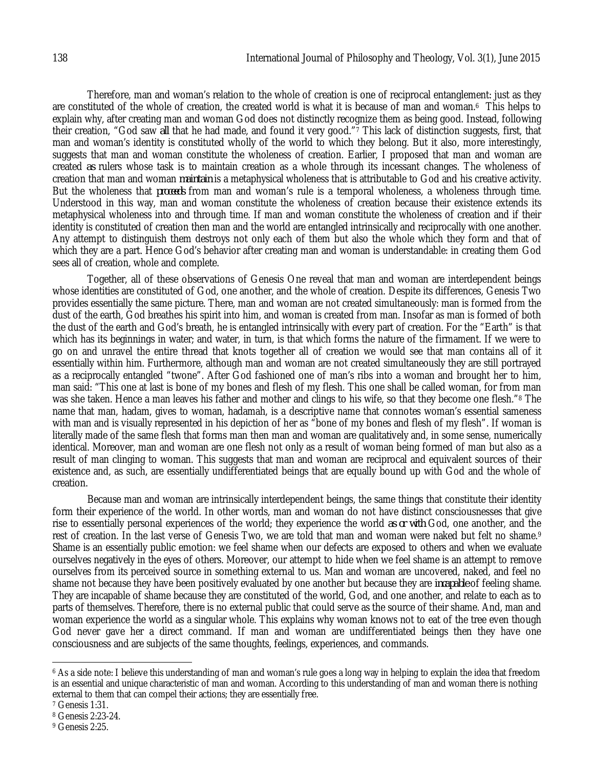Therefore, man and woman's relation to the whole of creation is one of reciprocal entanglement: just as they are constituted of the whole of creation, the created world is what it is because of man and woman.6 This helps to explain why, after creating man and woman God does not distinctly recognize them as being good. Instead, following their creation, "God saw *all* that he had made, and found it very good."<sup>7</sup> This lack of distinction suggests, first, that man and woman's identity is constituted wholly of the world to which they belong. But it also, more interestingly, suggests that man and woman constitute the wholeness of creation. Earlier, I proposed that man and woman are created *as* rulers whose task is to maintain creation as a whole through its incessant changes. The wholeness of creation that man and woman *maintain* is a metaphysical wholeness that is attributable to God and his creative activity. But the wholeness that *proceeds* from man and woman's rule is a temporal wholeness, a wholeness through time. Understood in this way, man and woman constitute the wholeness of creation because their existence extends its metaphysical wholeness into and through time. If man and woman constitute the wholeness of creation and if their identity is constituted of creation then man and the world are entangled intrinsically and reciprocally with one another. Any attempt to distinguish them destroys not only each of them but also the whole which they form and that of which they are a part. Hence God's behavior after creating man and woman is understandable: in creating them God sees all of creation, whole and complete.

Together, all of these observations of Genesis One reveal that man and woman are interdependent beings whose identities are constituted of God, one another, and the whole of creation. Despite its differences, Genesis Two provides essentially the same picture. There, man and woman are not created simultaneously: man is formed from the dust of the earth, God breathes his spirit into him, and woman is created from man. Insofar as man is formed of both the dust of the earth and God's breath, he is entangled intrinsically with every part of creation. For the "Earth" is that which has its beginnings in water; and water, in turn, is that which forms the nature of the firmament. If we were to go on and unravel the entire thread that knots together all of creation we would see that man contains all of it essentially within him. Furthermore, although man and woman are not created simultaneously they are still portrayed as a reciprocally entangled "twone". After God fashioned one of man's ribs into a woman and brought her to him, man said: "This one at last is bone of my bones and flesh of my flesh. This one shall be called woman, for from man was she taken. Hence a man leaves his father and mother and clings to his wife, so that they become one flesh."<sup>8</sup> The name that man, hadam, gives to woman, hadamah, is a descriptive name that connotes woman's essential sameness with man and is visually represented in his depiction of her as "bone of my bones and flesh of my flesh". If woman is literally made of the same flesh that forms man then man and woman are qualitatively and, in some sense, numerically identical. Moreover, man and woman are one flesh not only as a result of woman being formed of man but also as a result of man clinging to woman. This suggests that man and woman are reciprocal and equivalent sources of their existence and, as such, are essentially undifferentiated beings that are equally bound up with God and the whole of creation.

Because man and woman are intrinsically interdependent beings, the same things that constitute their identity form their experience of the world. In other words, man and woman do not have distinct consciousnesses that give rise to essentially personal experiences of the world; they experience the world *as or with* God, one another, and the rest of creation. In the last verse of Genesis Two, we are told that man and woman were naked but felt no shame.<sup>9</sup> Shame is an essentially public emotion: we feel shame when our defects are exposed to others and when we evaluate ourselves negatively in the eyes of others. Moreover, our attempt to hide when we feel shame is an attempt to remove ourselves from its perceived source in something external to us. Man and woman are uncovered, naked, and feel no shame not because they have been positively evaluated by one another but because they are *incapable* of feeling shame. They are incapable of shame because they are constituted of the world, God, and one another, and relate to each as to parts of themselves. Therefore, there is no external public that could serve as the source of their shame. And, man and woman experience the world as a singular whole. This explains why woman knows not to eat of the tree even though God never gave her a direct command. If man and woman are undifferentiated beings then they have one consciousness and are subjects of the same thoughts, feelings, experiences, and commands.

 $\overline{a}$ <sup>6</sup> As a side note: I believe this understanding of man and woman's rule goes a long way in helping to explain the idea that freedom is an essential and unique characteristic of man and woman. According to this understanding of man and woman there is nothing external to them that can compel their actions; they are essentially free.

<sup>7</sup> Genesis 1:31.

<sup>8</sup> Genesis 2:23-24.

<sup>9</sup> Genesis 2:25.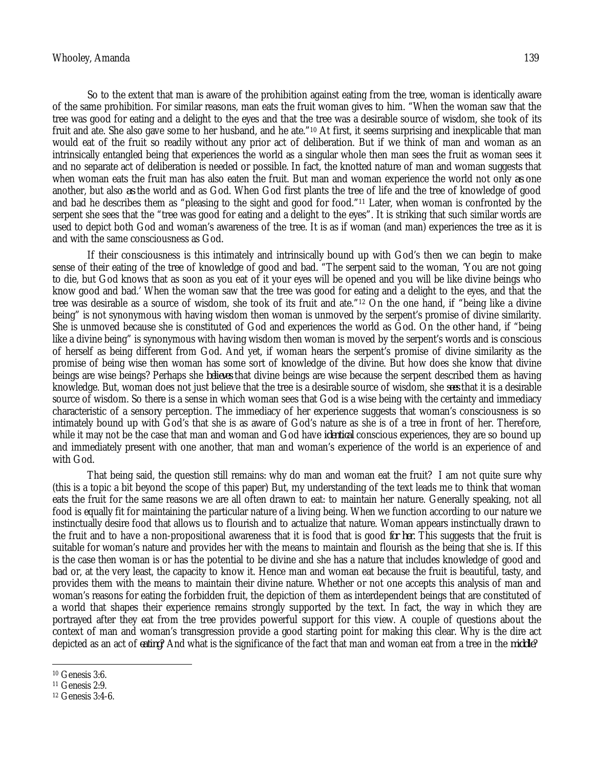So to the extent that man is aware of the prohibition against eating from the tree, woman is identically aware of the same prohibition. For similar reasons, man eats the fruit woman gives to him. "When the woman saw that the tree was good for eating and a delight to the eyes and that the tree was a desirable source of wisdom, she took of its fruit and ate. She also gave some to her husband, and he ate."<sup>10</sup> At first, it seems surprising and inexplicable that man would eat of the fruit so readily without any prior act of deliberation. But if we think of man and woman as an intrinsically entangled being that experiences the world as a singular whole then man sees the fruit as woman sees it and no separate act of deliberation is needed or possible. In fact, the knotted nature of man and woman suggests that when woman eats the fruit man has also eaten the fruit. But man and woman experience the world not only *as* one another, but also *as* the world and as God. When God first plants the tree of life and the tree of knowledge of good and bad he describes them as "pleasing to the sight and good for food."<sup>11</sup> Later, when woman is confronted by the serpent she sees that the "tree was good for eating and a delight to the eyes". It is striking that such similar words are used to depict both God and woman's awareness of the tree. It is as if woman (and man) experiences the tree as it is and with the same consciousness as God.

If their consciousness is this intimately and intrinsically bound up with God's then we can begin to make sense of their eating of the tree of knowledge of good and bad. "The serpent said to the woman, 'You are not going to die, but God knows that as soon as you eat of it your eyes will be opened and you will be like divine beings who know good and bad.' When the woman saw that the tree was good for eating and a delight to the eyes, and that the tree was desirable as a source of wisdom, she took of its fruit and ate."<sup>12</sup> On the one hand, if "being like a divine being" is not synonymous with having wisdom then woman is unmoved by the serpent's promise of divine similarity. She is unmoved because she is constituted of God and experiences the world as God. On the other hand, if "being like a divine being" is synonymous with having wisdom then woman is moved by the serpent's words and is conscious of herself as being different from God. And yet, if woman hears the serpent's promise of divine similarity as the promise of being wise then woman has some sort of knowledge of the divine. But how does she know that divine beings are wise beings? Perhaps she *believes* that divine beings are wise because the serpent described them as having knowledge. But, woman does not just believe that the tree is a desirable source of wisdom, she *sees* that it is a desirable source of wisdom. So there is a sense in which woman sees that God is a wise being with the certainty and immediacy characteristic of a sensory perception. The immediacy of her experience suggests that woman's consciousness is so intimately bound up with God's that she is as aware of God's nature as she is of a tree in front of her. Therefore, while it may not be the case that man and woman and God have *identical* conscious experiences, they are so bound up and immediately present with one another, that man and woman's experience of the world is an experience of and with God.

That being said, the question still remains: why do man and woman eat the fruit? I am not quite sure why (this is a topic a bit beyond the scope of this paper) But, my understanding of the text leads me to think that woman eats the fruit for the same reasons we are all often drawn to eat: to maintain her nature. Generally speaking, not all food is equally fit for maintaining the particular nature of a living being. When we function according to our nature we instinctually desire food that allows us to flourish and to actualize that nature. Woman appears instinctually drawn to the fruit and to have a non-propositional awareness that it is food that is good *for her.* This suggests that the fruit is suitable for woman's nature and provides her with the means to maintain and flourish as the being that she is. If this is the case then woman is or has the potential to be divine and she has a nature that includes knowledge of good and bad or, at the very least, the capacity to know it. Hence man and woman eat because the fruit is beautiful, tasty, and provides them with the means to maintain their divine nature. Whether or not one accepts this analysis of man and woman's reasons for eating the forbidden fruit, the depiction of them as interdependent beings that are constituted of a world that shapes their experience remains strongly supported by the text. In fact, the way in which they are portrayed after they eat from the tree provides powerful support for this view. A couple of questions about the context of man and woman's transgression provide a good starting point for making this clear. Why is the dire act depicted as an act of *eating*? And what is the significance of the fact that man and woman eat from a tree in the *middle*?

 $\overline{\phantom{a}}$ <sup>10</sup> Genesis 3:6.

<sup>11</sup> Genesis 2:9.

<sup>12</sup> Genesis 3:4-6.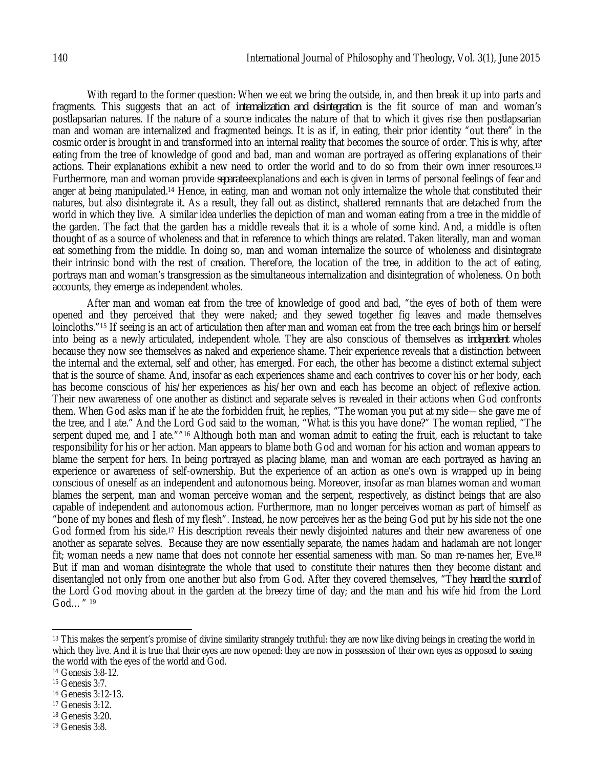With regard to the former question: When we eat we bring the outside, in, and then break it up into parts and fragments. This suggests that an act of *internalization and disintegration* is the fit source of man and woman's postlapsarian natures. If the nature of a source indicates the nature of that to which it gives rise then postlapsarian man and woman are internalized and fragmented beings. It is as if, in eating, their prior identity "out there" in the cosmic order is brought in and transformed into an internal reality that becomes the source of order. This is why, after eating from the tree of knowledge of good and bad, man and woman are portrayed as offering explanations of their actions. Their explanations exhibit a new need to order the world and to do so from their own inner resources.<sup>13</sup> Furthermore, man and woman provide *separate* explanations and each is given in terms of personal feelings of fear and anger at being manipulated.<sup>14</sup> Hence, in eating, man and woman not only internalize the whole that constituted their natures, but also disintegrate it. As a result, they fall out as distinct, shattered remnants that are detached from the world in which they live. A similar idea underlies the depiction of man and woman eating from a tree in the middle of the garden. The fact that the garden has a middle reveals that it is a whole of some kind. And, a middle is often thought of as a source of wholeness and that in reference to which things are related. Taken literally, man and woman eat something from the middle. In doing so, man and woman internalize the source of wholeness and disintegrate their intrinsic bond with the rest of creation. Therefore, the location of the tree, in addition to the act of eating, portrays man and woman's transgression as the simultaneous internalization and disintegration of wholeness. On both accounts, they emerge as independent wholes.

After man and woman eat from the tree of knowledge of good and bad, "the eyes of both of them were opened and they perceived that they were naked; and they sewed together fig leaves and made themselves loincloths."<sup>15</sup> If seeing is an act of articulation then after man and woman eat from the tree each brings him or herself into being as a newly articulated, independent whole. They are also conscious of themselves as *independent* wholes because they now see themselves as naked and experience shame. Their experience reveals that a distinction between the internal and the external, self and other, has emerged. For each, the other has become a distinct external subject that is the source of shame. And, insofar as each experiences shame and each contrives to cover his or her body, each has become conscious of his/her experiences as his/her own and each has become an object of reflexive action. Their new awareness of one another as distinct and separate selves is revealed in their actions when God confronts them. When God asks man if he ate the forbidden fruit, he replies, "The woman you put at my side—she gave me of the tree, and I ate." And the Lord God said to the woman, "What is this you have done?" The woman replied, "The serpent duped me, and I ate.""<sup>16</sup> Although both man and woman admit to eating the fruit, each is reluctant to take responsibility for his or her action. Man appears to blame both God and woman for his action and woman appears to blame the serpent for hers. In being portrayed as placing blame, man and woman are each portrayed as having an experience or awareness of self-ownership. But the experience of an action as one's own is wrapped up in being conscious of oneself as an independent and autonomous being. Moreover, insofar as man blames woman and woman blames the serpent, man and woman perceive woman and the serpent, respectively, as distinct beings that are also capable of independent and autonomous action. Furthermore, man no longer perceives woman as part of himself as "bone of my bones and flesh of my flesh". Instead, he now perceives her as the being God put by his side not the one God formed from his side.<sup>17</sup> His description reveals their newly disjointed natures and their new awareness of one another as separate selves. Because they are now essentially separate, the names hadam and hadamah are not longer fit; woman needs a new name that does not connote her essential sameness with man. So man re-names her, Eve.<sup>18</sup> But if man and woman disintegrate the whole that used to constitute their natures then they become distant and disentangled not only from one another but also from God. After they covered themselves, "They *heard* the *sound* of the Lord God moving about in the garden at the breezy time of day; and the man and his wife hid from the Lord God…" <sup>19</sup>

 $\overline{\phantom{a}}$ 

<sup>18</sup> Genesis 3:20.

<sup>13</sup> This makes the serpent's promise of divine similarity strangely truthful: they are now like diving beings in creating the world in which they live. And it is true that their eyes are now opened: they are now in possession of their own eyes as opposed to seeing the world with the eyes of the world and God.

<sup>14</sup> Genesis 3:8-12.

<sup>15</sup> Genesis 3:7.

<sup>16</sup> Genesis 3:12-13.

<sup>17</sup> Genesis 3:12.

<sup>19</sup> Genesis 3:8.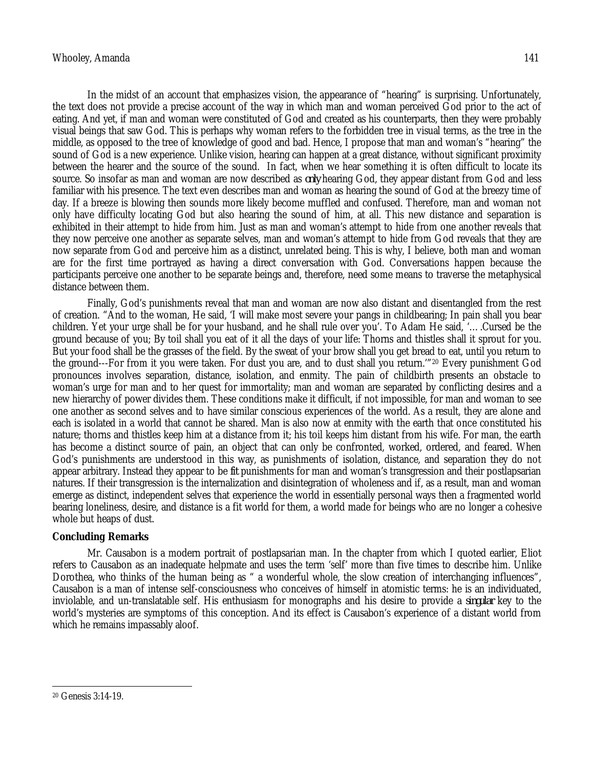In the midst of an account that emphasizes vision, the appearance of "hearing" is surprising. Unfortunately, the text does not provide a precise account of the way in which man and woman perceived God prior to the act of eating. And yet, if man and woman were constituted of God and created as his counterparts, then they were probably visual beings that saw God. This is perhaps why woman refers to the forbidden tree in visual terms, as the tree in the middle, as opposed to the tree of knowledge of good and bad. Hence, I propose that man and woman's "hearing" the sound of God is a new experience. Unlike vision, hearing can happen at a great distance, without significant proximity between the hearer and the source of the sound. In fact, when we hear something it is often difficult to locate its source. So insofar as man and woman are now described as *only* hearing God, they appear distant from God and less familiar with his presence. The text even describes man and woman as hearing the sound of God at the breezy time of day. If a breeze is blowing then sounds more likely become muffled and confused. Therefore, man and woman not only have difficulty locating God but also hearing the sound of him, at all. This new distance and separation is exhibited in their attempt to hide from him. Just as man and woman's attempt to hide from one another reveals that they now perceive one another as separate selves, man and woman's attempt to hide from God reveals that they are now separate from God and perceive him as a distinct, unrelated being. This is why, I believe, both man and woman are for the first time portrayed as having a direct conversation with God. Conversations happen because the participants perceive one another to be separate beings and, therefore, need some means to traverse the metaphysical distance between them.

Finally, God's punishments reveal that man and woman are now also distant and disentangled from the rest of creation. "And to the woman, He said, 'I will make most severe your pangs in childbearing; In pain shall you bear children. Yet your urge shall be for your husband, and he shall rule over you'. To Adam He said, '….Cursed be the ground because of you; By toil shall you eat of it all the days of your life: Thorns and thistles shall it sprout for you. But your food shall be the grasses of the field. By the sweat of your brow shall you get bread to eat, until you return to the ground---For from it you were taken. For dust you are, and to dust shall you return.'"<sup>20</sup> Every punishment God pronounces involves separation, distance, isolation, and enmity. The pain of childbirth presents an obstacle to woman's urge for man and to her quest for immortality; man and woman are separated by conflicting desires and a new hierarchy of power divides them. These conditions make it difficult, if not impossible, for man and woman to see one another as second selves and to have similar conscious experiences of the world. As a result, they are alone and each is isolated in a world that cannot be shared. Man is also now at enmity with the earth that once constituted his nature; thorns and thistles keep him at a distance from it; his toil keeps him distant from his wife. For man, the earth has become a distinct source of pain, an object that can only be confronted, worked, ordered, and feared. When God's punishments are understood in this way, as punishments of isolation, distance, and separation they do not appear arbitrary. Instead they appear to be *fit* punishments for man and woman's transgression and their postlapsarian natures. If their transgression is the internalization and disintegration of wholeness and if, as a result, man and woman emerge as distinct, independent selves that experience the world in essentially personal ways then a fragmented world bearing loneliness, desire, and distance is a fit world for them, a world made for beings who are no longer a cohesive whole but heaps of dust.

## **Concluding Remarks**

Mr. Causabon is a modern portrait of postlapsarian man. In the chapter from which I quoted earlier, Eliot refers to Causabon as an inadequate helpmate and uses the term 'self' more than five times to describe him. Unlike Dorothea, who thinks of the human being as " a wonderful whole, the slow creation of interchanging influences", Causabon is a man of intense self-consciousness who conceives of himself in atomistic terms: he is an individuated, inviolable, and un-translatable self. His enthusiasm for monographs and his desire to provide a *singular* key to the world's mysteries are symptoms of this conception. And its effect is Causabon's experience of a distant world from which he remains impassably aloof.

 $\overline{a}$ <sup>20</sup> Genesis 3:14-19.